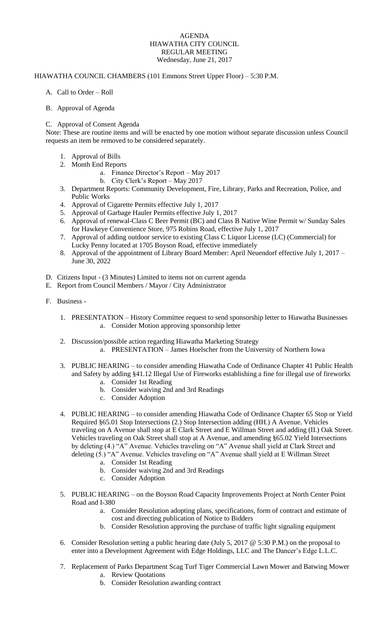## AGENDA HIAWATHA CITY COUNCIL REGULAR MEETING Wednesday, June 21, 2017

## HIAWATHA COUNCIL CHAMBERS (101 Emmons Street Upper Floor) – 5:30 P.M.

- A. Call to Order Roll
- B. Approval of Agenda

## C. Approval of Consent Agenda

Note: These are routine items and will be enacted by one motion without separate discussion unless Council requests an item be removed to be considered separately.

- 1. Approval of Bills
- 2. Month End Reports
	- a. Finance Director's Report May 2017
	- b. City Clerk's Report May 2017
- 3. Department Reports: Community Development, Fire, Library, Parks and Recreation, Police, and Public Works
- 4. Approval of Cigarette Permits effective July 1, 2017
- 5. Approval of Garbage Hauler Permits effective July 1, 2017
- 6. Approval of renewal-Class C Beer Permit (BC) and Class B Native Wine Permit w/ Sunday Sales for Hawkeye Convenience Store, 975 Robins Road, effective July 1, 2017
- 7. Approval of adding outdoor service to existing Class C Liquor License (LC) (Commercial) for Lucky Penny located at 1705 Boyson Road, effective immediately
- 8. Approval of the appointment of Library Board Member: April Neuendorf effective July 1, 2017 June 30, 2022
- D. Citizens Input (3 Minutes) Limited to items not on current agenda
- E. Report from Council Members / Mayor / City Administrator
- F. Business
	- 1. PRESENTATION History Committee request to send sponsorship letter to Hiawatha Businesses a. Consider Motion approving sponsorship letter
	- 2. Discussion/possible action regarding Hiawatha Marketing Strategy
		- a. PRESENTATION James Hoelscher from the University of Northern Iowa
	- 3. PUBLIC HEARING to consider amending Hiawatha Code of Ordinance Chapter 41 Public Health and Safety by adding §41.12 Illegal Use of Fireworks establishing a fine for illegal use of fireworks
		- a. Consider 1st Reading
		- b. Consider waiving 2nd and 3rd Readings
		- c. Consider Adoption
	- 4. PUBLIC HEARING to consider amending Hiawatha Code of Ordinance Chapter 65 Stop or Yield Required §65.01 Stop Intersections (2.) Stop Intersection adding (HH.) A Avenue. Vehicles traveling on A Avenue shall stop at E Clark Street and E Willman Street and adding (II.) Oak Street. Vehicles traveling on Oak Street shall stop at A Avenue, and amending §65.02 Yield Intersections by deleting (4.) "A" Avenue. Vehicles traveling on "A" Avenue shall yield at Clark Street and deleting (5.) "A" Avenue. Vehicles traveling on "A" Avenue shall yield at E Willman Street
		- a. Consider 1st Reading
		- b. Consider waiving 2nd and 3rd Readings
		- c. Consider Adoption
	- 5. PUBLIC HEARING on the Boyson Road Capacity Improvements Project at North Center Point Road and I-380
		- a. Consider Resolution adopting plans, specifications, form of contract and estimate of cost and directing publication of Notice to Bidders
		- b. Consider Resolution approving the purchase of traffic light signaling equipment
	- 6. Consider Resolution setting a public hearing date (July 5, 2017 @ 5:30 P.M.) on the proposal to enter into a Development Agreement with Edge Holdings, LLC and The Dancer's Edge L.L.C.
	- 7. Replacement of Parks Department Scag Turf Tiger Commercial Lawn Mower and Batwing Mower a. Review Quotations
		- b. Consider Resolution awarding contract